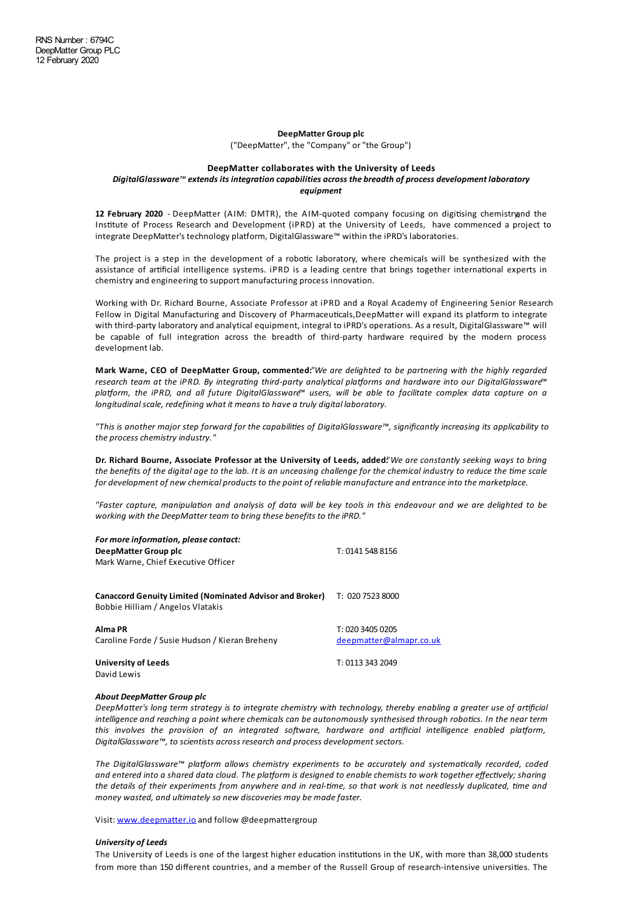## **DeepMatter Group plc**

("DeepMatter", the "Company" or"the Group")

### **DeepMatter collaborates with the University of Leeds**

# *DigitalGlassware™ extends its integration capabilities across the breadth of process development laboratory equipment*

12 **February 2020** - DeepMatter (AIM: DMTR), the AIM-quoted company focusing on digitising chemistryand the Institute of Process Research and Development (iPRD) at the University of Leeds, have commenced a project to integrate DeepMatter's technology platform, DigitalGlassware™ within the iPRD's laboratories.

The project is a step in the development of a robotic laboratory, where chemicals will be synthesized with the assistance of artificial intelligence systems. iPRD is a leading centre that brings together international experts in chemistry and engineering to support manufacturing process innovation.

Working with Dr. Richard Bourne, Associate Professor at iPRD and a Royal Academy of Engineering Senior Research Fellow in Digital Manufacturing and Discovery of Pharmaceuticals,DeepMatter will expand its platform to integrate with third-party laboratory and analytical equipment, integral to iPRD's operations. As a result, DigitalGlassware™ will be capable of full integration across the breadth of third-party hardware required by the modern process development lab.

**Mark Warne, CEO of DeepMa\$er Group, commented:***"We are delighted to be partnering with the highly regarded research team at the iPRD. By integrang third-party analycal plaorms and hardware into our DigitalGlassware™* platform, the iPRD, and all future DigitalGlassware<sup>™</sup> users, will be able to facilitate complex data capture on a *longitudinalscale, redefining what it means to have a truly digital laboratory.*

"This is another major step forward for the capabilities of DigitalGlassware™, significantly increasing its applicability to *the process chemistry industry."*

Dr. Richard Bourne, Associate Professor at the University of Leeds, added!'We are constantly seeking ways to bring the benefits of the digital age to the lab. It is an unceasing challenge for the chemical industry to reduce the time scale *for development of new chemical products to the point of reliable manufacture and entranceinto the marketplace.*

"Faster capture, manipulation and analysis of data will be key tools in this endeavour and we are delighted to be *working with the DeepMatter team to bring these benefits to theiPRD."*

| For more information, please contact:<br>DeepMatter Group plc<br>Mark Warne, Chief Executive Officer | T: 0141 548 8156                            |
|------------------------------------------------------------------------------------------------------|---------------------------------------------|
| <b>Canaccord Genuity Limited (Nominated Advisor and Broker)</b><br>Bobbie Hilliam / Angelos Vlatakis | T: 020 7523 8000                            |
| Alma PR<br>Caroline Forde / Susie Hudson / Kieran Breheny                                            | T: 020 3405 0205<br>deepmatter@almapr.co.uk |
| <b>University of Leeds</b><br>David Lewis                                                            | T: 0113 343 2049                            |

## *About DeepMatter Group plc*

DeepMatter's long term strategy is to integrate chemistry with technology, thereby enabling a greater use of artificial intelligence and reaching a point where chemicals can be autonomously synthesised through robotics. In the near term *this involves the provision of an integrated software, hardware and artificial intelligence enabled platform, DigitalGlassware™, to scientists across research and process development sectors.*

*The* DigitalGlassware™ platform allows chemistry experiments to be accurately and systematically recorded, coded and entered into a shared data cloud. The platform is designed to enable chemists to work together effectively; sharing the details of their experiments from anywhere and in real-time, so that work is not needlessly duplicated, time and *money wasted, and ultimately so new discoveries may be madefaster.*

Visit: [www.deepmatter.io](http://www.deepmatter.io/) and follow @deepmattergroup

### *University of Leeds*

The University of Leeds is one of the largest higher education institutions in the UK, with more than 38,000 students from more than 150 different countries, and a member of the Russell Group of research-intensive universities. The